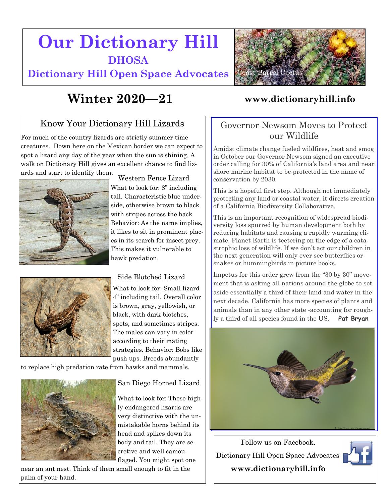# **Our Dictionary Hill DHOSA**

**Dictionary Hill Open Space Advocates**



### Know Your Dictionary Hill Lizards

For much of the country lizards are strictly summer time creatures. Down here on the Mexican border we can expect to spot a lizard any day of the year when the sun is shining. A walk on Dictionary Hill gives an excellent chance to find lizards and start to identify them.





What to look for: 8" including tail. Characteristic blue underside, otherwise brown to black with stripes across the back Behavior: As the name implies, it likes to sit in prominent places in its search for insect prey. This makes it vulnerable to hawk predation. Western Fence Lizard

#### Side Blotched Lizard

What to look for: Small lizard 4" including tail. Overall color is brown, gray, yellowish, or black, with dark blotches, spots, and sometimes stripes. The males can vary in color according to their mating strategies. Behavior: Bobs like push ups. Breeds abundantly

to replace high predation rate from hawks and mammals.



San Diego Horned Lizard

What to look for: These highly endangered lizards are very distinctive with the unmistakable horns behind its head and spikes down its body and tail. They are secretive and well camouflaged. You might spot one

near an ant nest. Think of them small enough to fit in the palm of your hand.



#### Governor Newsom Moves to Protect our Wildlife

Amidst climate change fueled wildfires, heat and smog in October our Governor Newsom signed an executive order calling for 30% of California's land area and near shore marine habitat to be protected in the name of conservation by 2030.

This is a hopeful first step. Although not immediately protecting any land or coastal water, it directs creation of a California Biodiversity Collaborative.

This is an important recognition of widespread biodiversity loss spurred by human development both by reducing habitats and causing a rapidly warming climate. Planet Earth is teetering on the edge of a catastrophic loss of wildlife. If we don't act our children in the next generation will only ever see butterflies or snakes or hummingbirds in picture books.

Impetus for this order grew from the "30 by 30" movement that is asking all nations around the globe to set aside essentially a third of their land and water in the next decade. California has more species of plants and animals than in any other state -accounting for roughly a third of all species found in the US. **Pat Bryan**



Follow us on Facebook. Dictionary Hill Open Space Advocates **www.dictionaryhill.info**